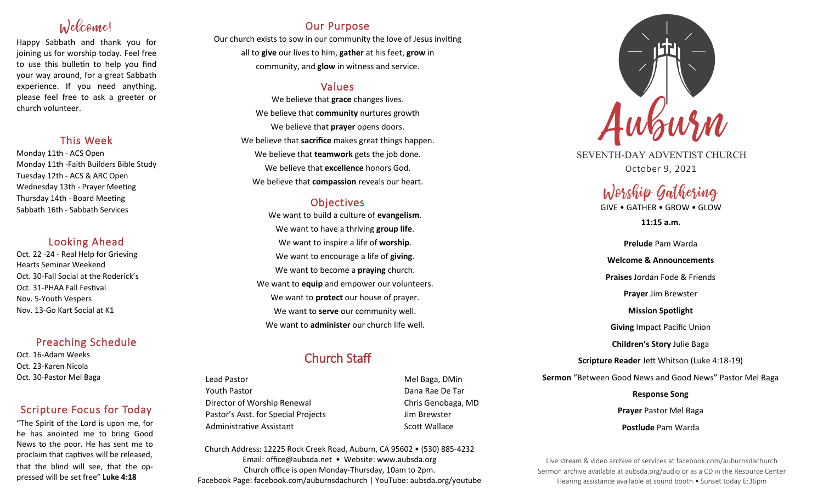# Welcome!

Happy Sabbath and thank you for joining us for worship today. Feel free to use this bulletin to help you find your way around, for a great Sabbath experience. If you need anything, please feel free to ask a greeter or church volunteer.

## This Week

Monday 11th - ACS Open Monday 11th -Faith Builders Bible Study Tuesday 12th - ACS & ARC Open Wednesday 13th - Prayer Meeting Thursday 14th - Board Meeting Sabbath 16th - Sabbath Services

## Looking Ahead

Oct. 22 -24 - Real Help for Grieving Hearts Seminar Weekend Oct. 30-Fall Social at the Roderick's Oct. 31-PHAA Fall Festival Nov. 5-Youth Vespers Nov. 13-Go Kart Social at K1

## Preaching Schedule

Oct. 16-Adam Weeks Oct. 23-Karen Nicola Oct. 30-Pastor Mel Baga

## Scripture Focus for Today

"The Spirit of the Lord is upon me, for he has anointed me to bring Good News to the poor. He has sent me to proclaim that captives will be released, that the blind will see, that the oppressed will be set free" **Luke 4:18**

## Our Purpose

Our church exists to sow in our community the love of Jesus inviting all to **give** our lives to him, **gather** at his feet, **grow** in community, and **glow** in witness and service.

## Values

We believe that **grace** changes lives. We believe that **community** nurtures growth We believe that **prayer** opens doors. We believe that **sacrifice** makes great things happen. We believe that **teamwork** gets the job done. We believe that **excellence** honors God. We believe that **compassion** reveals our heart.

## **Objectives**

We want to build a culture of **evangelism**. We want to have a thriving **group life**. We want to inspire a life of **worship**. We want to encourage a life of **giving**. We want to become a **praying** church. We want to **equip** and empower our volunteers. We want to **protect** our house of prayer. We want to **serve** our community well. We want to **administer** our church life well.

## Church Staff

Lead Pastor New York 1990 (New York 1990) and Mel Baga, DMin Youth Pastor Dana Rae De Tar Director of Worship Renewal Chris Genobaga, MD Pastor's Asst. for Special Projects Fig. 3.1 Jim Brewster Administrative Assistant National Controllery Scott Wallace

Church Address: 12225 Rock Creek Road, Auburn, CA 95602 • (530) 885-4232 Email: office@aubsda.net • Website: www.aubsda.org Church office is open Monday-Thursday, 10am to 2pm. Facebook Page: facebook.com/auburnsdachurch | YouTube: aubsda.org/youtube



SEVENTH-DAY ADVENTIST CHURCH October 9, 2021

> Worship Gathering GIVE • GATHER • GROW • GLOW

> > **11:15 a.m.**

**Prelude** Pam Warda **Welcome & Announcements Praises** Jordan Fode & Friends **Prayer** Jim Brewster **Mission Spotlight Giving** Impact Pacific Union **Children's Story** Julie Baga **Scripture Reader** Jett Whitson (Luke 4:18-19) **Sermon** "Between Good News and Good News" Pastor Mel Baga **Response Song Prayer** Pastor Mel Baga

**Postlude** Pam Warda

Live stream & video archive of services at facebook.com/auburnsdachurch Sermon archive available at aubsda.org/audio or as a CD in the Resource Center Hearing assistance available at sound booth • Sunset today 6:36pm